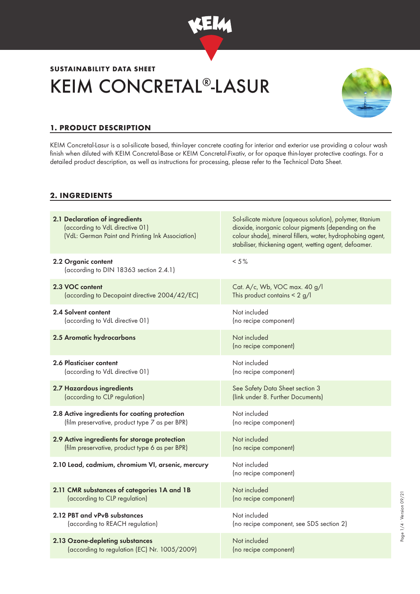

# KEIM CONCRETAL®-LASUR **SUSTAINABILITY DATA SHEET**



# **1. PRODUCT DESCRIPTION**

KEIM Concretal-Lasur is a sol-silicate based, thin-layer concrete coating for interior and exterior use providing a colour wash finish when diluted with KEIM Concretal-Base or KEIM Concretal-Fixativ, or for opaque thin-layer protective coatings. For a detailed product description, as well as instructions for processing, please refer to the Technical Data Sheet.

## **2. INGREDIENTS**

| 2.1 Declaration of ingredients<br>(according to VdL directive 01)<br>(VdL: German Paint and Printing Ink Association) | Sol-silicate mixture (aqueous solution), polymer, titanium<br>dioxide, inorganic colour pigments (depending on the<br>colour shade), mineral fillers, water, hydrophobing agent,<br>stabiliser, thickening agent, wetting agent, defoamer. |
|-----------------------------------------------------------------------------------------------------------------------|--------------------------------------------------------------------------------------------------------------------------------------------------------------------------------------------------------------------------------------------|
| 2.2 Organic content<br>(according to DIN 18363 section 2.4.1)                                                         | $< 5 \%$                                                                                                                                                                                                                                   |
| 2.3 VOC content                                                                                                       | Cat. A/c, Wb, VOC max. 40 g/l                                                                                                                                                                                                              |
| (according to Decopaint directive 2004/42/EC)                                                                         | This product contains $\leq 2$ g/l                                                                                                                                                                                                         |
| 2.4 Solvent content                                                                                                   | Not included                                                                                                                                                                                                                               |
| (according to VdL directive 01)                                                                                       | (no recipe component)                                                                                                                                                                                                                      |
| 2.5 Aromatic hydrocarbons                                                                                             | Not included<br>(no recipe component)                                                                                                                                                                                                      |
| <b>2.6 Plasticiser content</b>                                                                                        | Not included                                                                                                                                                                                                                               |
| (according to VdL directive 01)                                                                                       | (no recipe component)                                                                                                                                                                                                                      |
| 2.7 Hazardous ingredients                                                                                             | See Safety Data Sheet section 3                                                                                                                                                                                                            |
| (according to CLP regulation)                                                                                         | (link under 8. Further Documents)                                                                                                                                                                                                          |
| 2.8 Active ingredients for coating protection                                                                         | Not included                                                                                                                                                                                                                               |
| (film preservative, product type 7 as per BPR)                                                                        | (no recipe component)                                                                                                                                                                                                                      |
| 2.9 Active ingredients for storage protection                                                                         | Not included                                                                                                                                                                                                                               |
| (film preservative, product type 6 as per BPR)                                                                        | (no recipe component)                                                                                                                                                                                                                      |
| 2.10 Lead, cadmium, chromium VI, arsenic, mercury                                                                     | Not included<br>(no recipe component)                                                                                                                                                                                                      |
| 2.11 CMR substances of categories 1A and 1B                                                                           | Not included                                                                                                                                                                                                                               |
| (according to CLP regulation)                                                                                         | (no recipe component)                                                                                                                                                                                                                      |
| 2.12 PBT and vPvB substances                                                                                          | Not included                                                                                                                                                                                                                               |
| (according to REACH regulation)                                                                                       | (no recipe component, see SDS section 2)                                                                                                                                                                                                   |
| 2.13 Ozone-depleting substances                                                                                       | Not included                                                                                                                                                                                                                               |
| (according to regulation (EC) Nr. 1005/2009)                                                                          | (no recipe component)                                                                                                                                                                                                                      |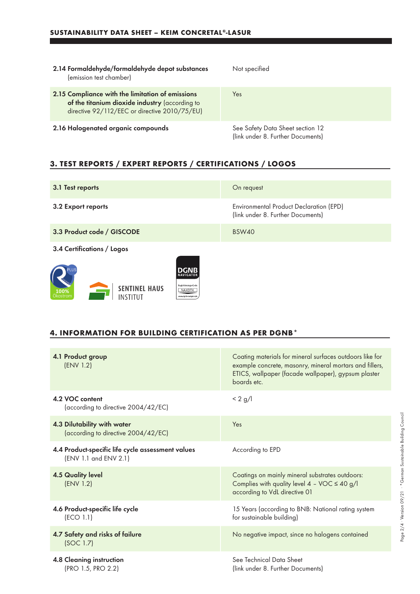a sa kacamatan ing Kabupatèn Kabupatèn Kabupatèn Kabupatèn Kabupatèn Kabupatèn Kabupatèn Kabupatèn Kabupatèn K

| 2.14 Formaldehyde/formaldehyde depot substances<br>(emission test chamber)                                                                          | Not specified                                                         |
|-----------------------------------------------------------------------------------------------------------------------------------------------------|-----------------------------------------------------------------------|
| 2.15 Compliance with the limitation of emissions<br>of the titanium dioxide industry (according to<br>directive 92/112/EEC or directive 2010/75/EU) | Yes                                                                   |
| 2.16 Halogenated organic compounds                                                                                                                  | See Safety Data Sheet section 12<br>(link under 8. Further Documents) |

# **3. TEST REPORTS / EXPERT REPORTS / CERTIFICATIONS / LOGOS**

| 3.1 Test reports                                                                                                                    | On request                                                                   |
|-------------------------------------------------------------------------------------------------------------------------------------|------------------------------------------------------------------------------|
| 3.2 Export reports                                                                                                                  | Environmental Product Declaration (EPD)<br>(link under 8. Further Documents) |
| 3.3 Product code / GISCODE                                                                                                          | <b>BSW40</b>                                                                 |
| 3.4 Certifications / Logos                                                                                                          |                                                                              |
| DGNR<br>NAVIGATOR<br>Registrierungs-Code<br><b>SENTINEL HAUS</b><br>NAXDTK<br>100%<br>INSTITUT<br>Okostrom<br>www.donb-navioator.de |                                                                              |

#### **4. INFORMATION FOR BUILDING CERTIFICATION AS PER DGNB\***

| 4.1 Product group<br>(ENV 1.2)                                             | Coating materials for mineral surfaces outdoors like for<br>example concrete, masonry, mineral mortars and fillers,<br>ETICS, wallpaper (facade wallpaper), gypsum plaster<br>boards etc. |
|----------------------------------------------------------------------------|-------------------------------------------------------------------------------------------------------------------------------------------------------------------------------------------|
| 4.2 VOC content<br>(according to directive 2004/42/EC)                     | $< 2$ g/l                                                                                                                                                                                 |
| 4.3 Dilutability with water<br>(according to directive 2004/42/EC)         | Yes                                                                                                                                                                                       |
| 4.4 Product-specific life cycle assessment values<br>(ENV 1.1 and ENV 2.1) | According to EPD                                                                                                                                                                          |
| <b>4.5 Quality level</b><br>(ENV 1.2)                                      | Coatings on mainly mineral substrates outdoors:<br>Complies with quality level $4 - \text{VOC} \le 40 \text{ g/l}$<br>according to VdL directive 01                                       |
| 4.6 Product-specific life cycle<br>(ECO 1.1)                               | 15 Years (according to BNB: National rating system<br>for sustainable building)                                                                                                           |
| 4.7 Safety and risks of failure<br>(SOC 1.7)                               | No negative impact, since no halogens contained                                                                                                                                           |
| 4.8 Cleaning instruction<br>(PRO 1.5, PRO 2.2)                             | See Technical Data Sheet<br>(link under 8. Further Documents)                                                                                                                             |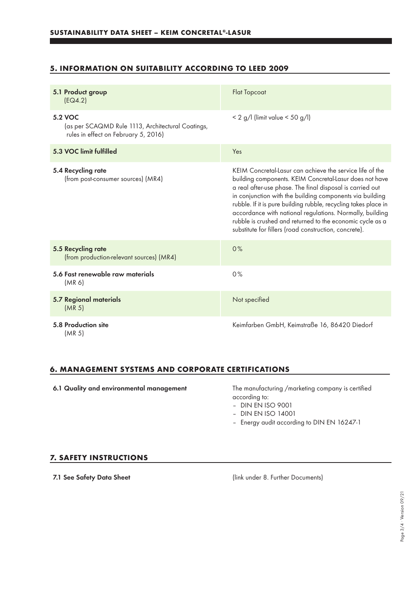### **5. INFORMATION ON SUITABILITY ACCORDING TO LEED 2009**

| 5.1 Product group<br>[EQ4.2]                                                                         | <b>Flat Topcoat</b>                                                                                                                                                                                                                                                                                                                                                                                                                                                                               |
|------------------------------------------------------------------------------------------------------|---------------------------------------------------------------------------------------------------------------------------------------------------------------------------------------------------------------------------------------------------------------------------------------------------------------------------------------------------------------------------------------------------------------------------------------------------------------------------------------------------|
| 5.2 VOC<br>(as per SCAQMD Rule 1113, Architectural Coatings,<br>rules in effect on February 5, 2016) | $< 2$ g/l (limit value $< 50$ g/l)                                                                                                                                                                                                                                                                                                                                                                                                                                                                |
| 5.3 VOC limit fulfilled                                                                              | Yes                                                                                                                                                                                                                                                                                                                                                                                                                                                                                               |
| 5.4 Recycling rate<br>(from post-consumer sources) (MR4)                                             | KEIM Concretal-Lasur can achieve the service life of the<br>building components. KEIM Concretal-Lasur does not have<br>a real after-use phase. The final disposal is carried out<br>in conjunction with the building components via building<br>rubble. If it is pure building rubble, recycling takes place in<br>accordance with national regulations. Normally, building<br>rubble is crushed and returned to the economic cycle as a<br>substitute for fillers (road construction, concrete). |
| 5.5 Recycling rate<br>(from production-relevant sources) (MR4)                                       | 0%                                                                                                                                                                                                                                                                                                                                                                                                                                                                                                |
| 5.6 Fast renewable raw materials<br>(MR 6)                                                           | 0%                                                                                                                                                                                                                                                                                                                                                                                                                                                                                                |
| 5.7 Regional materials<br>(MR <sub>5</sub> )                                                         | Not specified                                                                                                                                                                                                                                                                                                                                                                                                                                                                                     |
| 5.8 Production site<br>(MR <sub>5</sub> )                                                            | Keimfarben GmbH, Keimstraße 16, 86420 Diedorf                                                                                                                                                                                                                                                                                                                                                                                                                                                     |

#### **6. MANAGEMENT SYSTEMS AND CORPORATE CERTIFICATIONS**

6.1 Quality and environmental management The manufacturing /marketing company is certified according to:

– DIN EN ISO 9001

- DIN EN ISO 14001
- Energy audit according to DIN EN 16247-1

#### **7. SAFETY INSTRUCTIONS**

7.1 See Safety Data Sheet (link under 8. Further Documents)